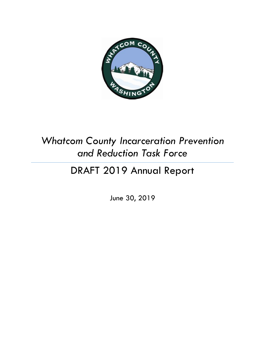

# *Whatcom County Incarceration Prevention and Reduction Task Force*

# DRAFT 2019 Annual Report

June 30, 2019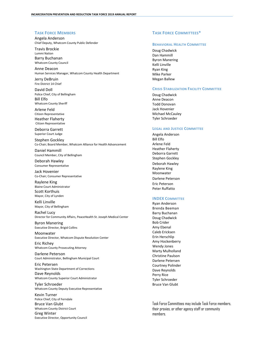#### **TASK FORCE MEMBERS**

Angela Anderson Chief Deputy, Whatcom County Public Defender

Travis Brockie Lummi Nation Barry Buchanan Whatcom County Council

Anne Deacon Human Services Manager, Whatcom County Health Department

Jerry DeBruin Fire District 14 Chief

David Doll Police Chief, City of Bellingham Bill Elfo Whatcom County Sheriff

Arlene Feld Citizen Representative Heather Flaherty Citizen Representative

Deborra Garrett Superior Court Judge

Stephen Gockley Co-Chair; Board Member, Whatcom Alliance for Health Advancement

Daniel Hammill Council Member, City of Bellingham

Deborah Hawley Consumer Representative

Jack Hovenier Co-Chair; Consumer Representative

Raylene King Blaine Court Administrator Scott Korthuis Mayor, City of Lynden

Kelli Linville Mayor, City of Bellingham

Rachel Lucy Director for Community Affairs, PeaceHealth St. Joseph Medical Center

Byron Manering Executive Director, Brigid Collins

Moonwater Executive Director, Whatcom Dispute Resolution Center

Eric Richey Whatcom County Prosecuting Attorney

Darlene Peterson Court Administrator, Bellingham Municipal Court

Eric Petersen Washington State Department of Corrections Dave Reynolds

Whatcom County Superior Court Administrator

Tyler Schroeder Whatcom County Deputy Executive Representative

Kevin Turner Police Chief, City of Ferndale Bruce Van Glubt Whatcom County District Court Greg Winter Executive Director, Opportunity Council

#### **TASK FORCE COMMITTEES\***

#### **BEHAVIORAL HEALTH COMMITTEE**

Doug Chadwick Dan Hammill Byron Manering Kelli Linville Ryan King Mike Parker Megan Ballew

#### **CRISIS STABILIZATION FACILITY COMMITTEE**

Doug Chadwick Anne Deacon Todd Donovan Jack Hovenier Michael McCauley Tyler Schroeder

#### **LEGAL AND JUSTICE COMMITTEE**

Angela Anderson Bill Elfo Arlene Feld Heather Flaherty Deborra Garrett Stephen Gockley Deborah Hawley Raylene King **Moonwater** Darlene Peterson Eric Peterson Peter Ruffatto

#### **INDEX COMMITTEE**

Ryan Anderson Brenda Beeman Barry Buchanan Doug Chadwick Bob Crider Amy Ebenal Caleb Ericksen Erin Herschlip Amy Hockenberry Wendy Jones Marty Mulholland Christine Paulson Darlene Petersen Courtney Polinder Dave Reynolds Perry Rice Tyler Schroeder Bruce Van Glubt

Task Force Committees may include Task Force members, their proxies, or other agency staff or community members.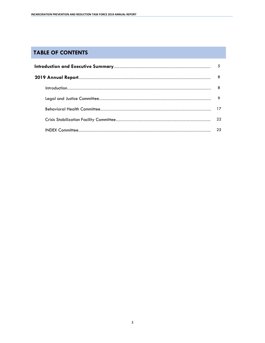# **TABLE OF CONTENTS**

| 8  |
|----|
|    |
| 9  |
| 17 |
| 22 |
| 25 |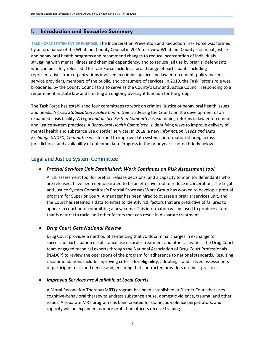#### **I. Introduction and Executive Summary**

**TASK FORCE STATEMENT OF PURPOSE.** The Incarceration Prevention and Reduction Task Force was formed by an ordinance of the Whatcom County Council in 2015 to review Whatcom County's criminal justice and behavioral health programs and recommend changes to reduce incarceration of individuals struggling with mental illness and chemical dependency, and to reduce jail use by pretrial defendants who can be safely released. The Task Force includes a broad range of participants including representatives from organizations involved in criminal justice and law enforcement, policy makers, service providers, members of the public, and consumers of services. In 2019, the Task Force's role was broadened by the County Council to also serve as the County's Law and Justice Council, responding to a requirement in state law and creating an ongoing oversight function for the group.

The Task Force has established four committees to work on criminal justice or behavioral health issues and needs. A *Crisis Stabilization Facility Committee* is advising the County on the development of an expanded crisis facility. A *Legal and Justice System Committee* is examining reforms in law enforcement and justice system practices. A *Behavioral Health Committee* is identifying ways to improve delivery of mental health and substance use disorder services. In 2018, a new *Information Needs and Data Exchange (INDEX) Committee* was formed to improve data systems, information-sharing across jurisdictions, and availability of outcome data. Progress in the prior year is noted briefly below.

## Legal and Justice System Committee

#### • *Pretrial Services Unit Established; Work Continues on Risk Assessment tool*

A risk assessment tool for pretrial release decisions, and a capacity to monitor defendants who are released, have been demonstrated to be an effective tool to reduce incarceration. The Legal and Justice System Committee's Pretrial Processes Work Group has worked to develop a pretrial program for Superior Court. A manager has been hired to oversee a pretrial services unit, and the Court has retained a data scientist to identify risk factors that are predictive of failures to appear in court or of committing a new crime. This information will be used to produce a tool that is neutral to racial and other factors that can result in disparate treatment.

#### • *Drug Court Gets National Review*

Drug Court provides a method of sentencing that voids criminal charges in exchange for successful participation in substance use disorder treatment and other activities. The Drug Court team engaged technical experts through the National Association of Drug Court Professionals (NADCP) to review the operations of the program for adherence to national standards. Resulting recommendations include improving criteria for eligibility; adopting standardized assessments of participant risks and needs; and, ensuring that contracted providers use best practices.

#### • *Improved Services are Available at Local Courts*

A Moral Reconation Therapy (MRT) program has been established at District Court that uses cognitive-behavioral therapy to address substance abuse, domestic violence, trauma, and other issues. A separate MRT program has been created for domestic violence perpetrators, and capacity will be expanded as more probation officers receive training.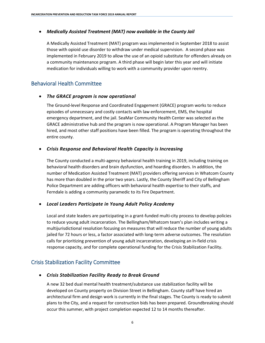## • *Medically Assisted Treatment (MAT) now available in the County Jail*

A Medically Assisted Treatment (MAT) program was implemented in September 2018 to assist those with opioid use disorder to withdraw under medical supervision. A second phase was implemented in February 2019 to allow the use of an opioid substitute for offenders already on a community maintenance program. A third phase will begin later this year and will initiate medication for individuals willing to work with a community provider upon reentry.

## Behavioral Health Committee

## • *The GRACE program is now operational*

The Ground-level Response and Coordinated Engagement (GRACE) program works to reduce episodes of unnecessary and costly contacts with law enforcement, EMS, the hospital emergency department, and the jail. SeaMar Community Health Center was selected as the GRACE administrative hub and the program is now operational. A Program Manager has been hired, and most other staff positions have been filled. The program is operating throughout the entire county.

## • *Crisis Response and Behavioral Health Capacity is Increasing*

The County conducted a multi-agency behavioral health training in 2019, including training on behavioral health disorders and brain dysfunction, and hoarding disorders. In addition, the number of Medication Assisted Treatment (MAT) providers offering services in Whatcom County has more than doubled in the prior two years. Lastly, the County Sheriff and City of Bellingham Police Department are adding officers with behavioral health expertise to their staffs, and Ferndale is adding a community paramedic to its Fire Department.

#### • *Local Leaders Participate in Young Adult Policy Academy*

Local and state leaders are participating in a grant-funded multi-city process to develop policies to reduce young adult incarceration. The Bellingham/Whatcom team's plan includes writing a multijurisdictional resolution focusing on measures that will reduce the number of young adults jailed for 72 hours or less, a factor associated with long-term adverse outcomes. The resolution calls for prioritizing prevention of young adult incarceration, developing an in-field crisis response capacity, and for complete operational funding for the Crisis Stabilization Facility.

# Crisis Stabilization Facility Committee

## • *Crisis Stabilization Facility Ready to Break Ground*

A new 32 bed dual mental health treatment/substance use stabilization facility will be developed on County property on Division Street in Bellingham. County staff have hired an architectural firm and design work is currently in the final stages. The County is ready to submit plans to the City, and a request for construction bids has been prepared. Groundbreaking should occur this summer, with project completion expected 12 to 14 months thereafter.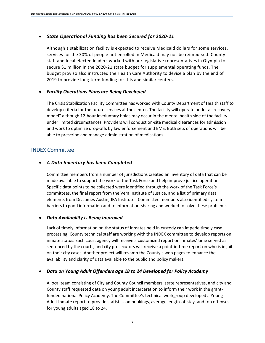#### • *State Operational Funding has been Secured for 2020-21*

Although a stabilization facility is expected to receive Medicaid dollars for some services, services for the 30% of people not enrolled in Medicaid may not be reimbursed. County staff and local elected leaders worked with our legislative representatives in Olympia to secure \$1 million in the 2020-21 state budget for supplemental operating funds. The budget proviso also instructed the Health Care Authority to devise a plan by the end of 2019 to provide long-term funding for this and similar centers.

#### • *Facility Operations Plans are Being Developed*

The Crisis Stabilization Facility Committee has worked with County Department of Health staff to develop criteria for the future services at the center. The facility will operate under a "recovery model" although 12-hour involuntary holds may occur in the mental health side of the facility under limited circumstances. Providers will conduct on-site medical clearances for admission and work to optimize drop-offs by law enforcement and EMS. Both sets of operations will be able to prescribe and manage administration of medications.

## INDEX Committee

#### • *A Data Inventory has been Completed*

Committee members from a number of jurisdictions created an inventory of data that can be made available to support the work of the Task Force and help improve justice operations. Specific data points to be collected were identified through the work of the Task Force's committees, the final report from the Vera Institute of Justice, and a list of primary data elements from Dr. James Austin, JFA Institute. Committee members also identified system barriers to good information and to information-sharing and worked to solve these problems.

#### • *Data Availability is Being Improved*

Lack of timely information on the status of inmates held in custody can impede timely case processing. County technical staff are working with the INDEX committee to develop reports on inmate status. Each court agency will receive a customized report on inmates' time served as sentenced by the courts, and city prosecutors will receive a point-in-time report on who is in jail on their city cases. Another project will revamp the County's web pages to enhance the availability and clarity of data available to the public and policy makers.

#### • *Data on Young Adult Offenders age 18 to 24 Developed for Policy Academy*

A local team consisting of City and County Council members, state representatives, and city and County staff requested data on young adult incarceration to inform their work in the grantfunded national Policy Academy. The Committee's technical workgroup developed a Young Adult Inmate report to provide statistics on bookings, average length-of-stay, and top offenses for young adults aged 18 to 24.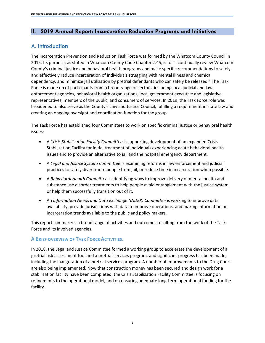## **II. 2019 Annual Report: Incarceration Reduction Programs and Initiatives**

## **A. Introduction**

The Incarceration Prevention and Reduction Task Force was formed by the Whatcom County Council in 2015. Its purpose, as stated in Whatcom County Code Chapter 2.46, is to "…continually review Whatcom County's criminal justice and behavioral health programs and make specific recommendations to safely and effectively reduce incarceration of individuals struggling with mental illness and chemical dependency, and minimize jail utilization by pretrial defendants who can safely be released." The Task Force is made up of participants from a broad range of sectors, including local judicial and law enforcement agencies, behavioral health organizations, local government executive and legislative representatives, members of the public, and consumers of services. In 2019, the Task Force role was broadened to also serve as the County's Law and Justice Council, fulfilling a requirement in state law and creating an ongoing oversight and coordination function for the group.

The Task Force has established four Committees to work on specific criminal justice or behavioral health issues:

- A *Crisis Stabilization Facility Committee* is supporting development of an expanded Crisis Stabilization Facility for initial treatment of individuals experiencing acute behavioral health issues and to provide an alternative to jail and the hospital emergency department.
- A *Legal and Justice System Committee* is examining reforms in law enforcement and judicial practices to safely divert more people from jail, or reduce time in incarceration when possible.
- A *Behavioral Health Committee* is identifying ways to improve delivery of mental health and substance use disorder treatments to help people avoid entanglement with the justice system, or help them successfully transition out of it.
- An *Information Needs and Data Exchange (INDEX) Committee* is working to improve data availability, provide jurisdictions with data to improve operations, and making information on incarceration trends available to the public and policy makers.

This report summarizes a broad range of activities and outcomes resulting from the work of the Task Force and its involved agencies.

## **A BRIEF OVERVIEW OF TASK FORCE ACTIVITIES.**

In 2018, the Legal and Justice Committee formed a working group to accelerate the development of a pretrial risk assessment tool and a pretrial services program, and significant progress has been made, including the inauguration of a pretrial services program. A number of improvements to the Drug Court are also being implemented. Now that construction money has been secured and design work for a stabilization facility have been completed, the Crisis Stabilization Facility Committee is focusing on refinements to the operational model, and on ensuring adequate long-term operational funding for the facility.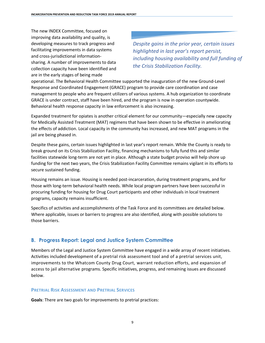The new INDEX Committee, focused on improving data availability and quality, is developing measures to track progress and facilitating improvements in data systems and cross-jurisdictional informationsharing. A number of improvements to data collection capacity have been identified and are in the early stages of being made

*Despite gains in the prior year, certain issues highlighted in last year's report persist, including housing availability and full funding of the Crisis Stabilization Facility.*

operational. The Behavioral Health Committee supported the inauguration of the new Ground-Level Response and Coordinated Engagement (GRACE) program to provide care coordination and case management to people who are frequent utilizers of various systems. A hub organization to coordinate GRACE is under contract, staff have been hired, and the program is now in operation countywide. Behavioral health response capacity in law enforcement is also increasing.

Expanded treatment for opiates is another critical element for our community—especially new capacity for Medically Assisted Treatment (MAT) regimens that have been shown to be effective in ameliorating the effects of addiction. Local capacity in the community has increased, and new MAT programs in the jail are being phased in.

Despite these gains, certain issues highlighted in last year's report remain. While the County is ready to break ground on its Crisis Stabilization Facility, financing mechanisms to fully fund this and similar facilities statewide long-term are not yet in place. Although a state budget proviso will help shore up funding for the next two years, the Crisis Stabilization Facility Committee remains vigilant in its efforts to secure sustained funding.

Housing remains an issue. Housing is needed post-incarceration, during treatment programs, and for those with long-term behavioral health needs. While local program partners have been successful in procuring funding for housing for Drug Court participants and other individuals in local treatment programs, capacity remains insufficient.

Specifics of activities and accomplishments of the Task Force and its committees are detailed below. Where applicable, issues or barriers to progress are also identified, along with possible solutions to those barriers.

# **B. Progress Report: Legal and Justice System Committee**

Members of the Legal and Justice System Committee have engaged in a wide array of recent initiatives. Activities included development of a pretrial risk assessment tool and of a pretrial services unit, improvements to the Whatcom County Drug Court, warrant reduction efforts, and expansion of access to jail alternative programs. Specific initiatives, progress, and remaining issues are discussed below.

## **PRETRIAL RISK ASSESSMENT AND PRETRIAL SERVICES**

**Goals**: There are two goals for improvements to pretrial practices: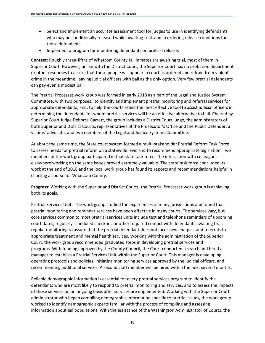- Select and implement an accurate assessment tool for judges to use in identifying defendants who may be conditionally released while awaiting trial, and in ordering release conditions for those defendants.
- Implement a program for monitoring defendants on pretrial release.

**Context:** Roughly three-fifths of Whatcom County Jail inmates are awaiting trial, most of them in Superior Court. However, unlike with the District Court, the Superior Court has no probation department or other resources to assure that these people will appear in court as ordered and refrain from violent crime in the meantime, leaving judicial officers with bail as the only option. Very few pretrial defendants can pay even a modest bail.

The Pretrial Processes work group was formed in early 2018 as a part of the Legal and Justice System Committee, with two purposes: to identify and implement pretrial monitoring and referral services for appropriate defendants; and, to help the courts select the most effective tool to assist judicial officers in determining the defendants for whom pretrial services will be an effective alternative to bail. Chaired by Superior Court Judge Deborra Garrett, the group includes a District Court judge, the administrators of both Superior and District Courts, representatives of the Prosecutor's Office and the Public Defender, a victims' advocate, and two members of the Legal and Justice Systems Committee.

At about the same time, the State court system formed a multi-stakeholder Pretrial Reform Task Force to assess needs for pretrial reform on a statewide level and to recommend appropriate legislation. Two members of the work group participated in that state task force. The interaction with colleagues elsewhere working on the same issues proved extremely valuable. The state task force concluded its work at the end of 2018 and the local work group has found its reports and recommendations helpful in charting a course for Whatcom County.

**Progress:** Working with the Superior and District Courts, the Pretrial Processes work group is achieving both its goals.

Pretrial Services Unit: The work group studied the experiences of many jurisdictions and found that pretrial monitoring and reminder services have been effective in many courts. The services vary, but core services common to most pretrial services units include text and telephone reminders of upcoming court dates; regularly scheduled check-ins or other required contact with defendants awaiting trial; regular monitoring to assure that the pretrial defendant does not incur new charges; and referrals to appropriate treatment and mental health services. Working with the administration of the Superior Court, the work group recommended graduated steps in developing pretrial services and programs. With funding approved by the County Council, the Court conducted a search and hired a manager to establish a Pretrial Services Unit within the Superior Court. This manager is developing operating protocols and policies, initiating monitoring services approved by the judicial officers, and recommending additional services. A second staff member will be hired within the next several months.

Reliable demographic information is essential for every pretrial services program to identify the defendants who are most likely to respond to pretrial monitoring and services, and to assess the impacts of those services on an ongoing basis after services are implemented. Working with the Superior Court administrator who began compiling demographic information specific to pretrial issues, the work group worked to identify demographic experts familiar with the process of compiling and assessing information about jail populations. With the assistance of the Washington Administrator of Courts, the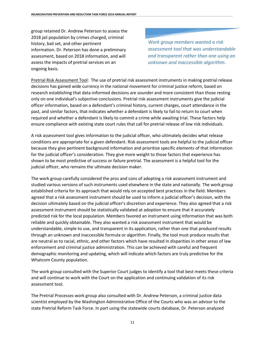group retained Dr. Andrew Peterson to assess the 2018 jail population by crimes charged, criminal history, bail set, and other pertinent information. Dr. Peterson has done a preliminary assessment, based on 2018 information, and will assess the impacts of pretrial services on an ongoing basis.

*Work group members wanted a risk assessment tool that was understandable and transparent rather than one using an unknown and inaccessible algorithm.*

Pretrial Risk Assessment Tool: The use of pretrial risk assessment instruments in making pretrial release decisions has gained wide currency in the national movement for criminal justice reform, based on research establishing that data-informed decisions are sounder and more consistent than those resting only on one individual's subjective conclusions. Pretrial risk assessment instruments give the judicial officer information, based on a defendant's criminal history, current charges, court attendance in the past, and similar factors, that indicates whether a defendant is likely to fail to return to court when required and whether a defendant is likely to commit a crime while awaiting trial. These factors help ensure compliance with existing state court rules that call for pretrial release of low risk individuals.

A risk assessment tool gives information to the judicial officer, who ultimately decides what release conditions are appropriate for a given defendant. Risk assessment tools are helpful to the judicial officer because they give pertinent background information and prioritize specific elements of that information for the judicial officer's consideration. They give more weight to those factors that experience has shown to be most predictive of success or failure pretrial. The assessment is a helpful tool for the judicial officer, who remains the ultimate decision maker.

The work group carefully considered the pros and cons of adopting a risk assessment instrument and studied various versions of such instruments used elsewhere in the state and nationally. The work group established criteria for its approach that would rely on accepted best practices in the field. Members agreed that a risk assessment instrument should be used to inform a judicial officer's decision, with the decision ultimately based on the judicial officer's discretion and experience. They also agreed that a risk assessment instrument should be statistically validated at adoption to ensure that it accurately predicted risk for the local population. Members favored an instrument using information that was both reliable and quickly obtainable. They also wanted a risk assessment instrument that would be understandable, simple to use, and transparent in its application, rather than one that produced results through an unknown and inaccessible formula or algorithm. Finally, the tool must produce results that are neutral as to racial, ethnic, and other factors which have resulted in disparities in other areas of law enforcement and criminal justice administration. This can be achieved with careful and frequent demographic monitoring and updating, which will indicate which factors are truly predictive for the Whatcom County population.

The work group consulted with the Superior Court judges to identify a tool that best meets these criteria and will continue to work with the Court on the application and continuing validation of its risk assessment tool.

The Pretrial Processes work group also consulted with Dr. Andrew Peterson, a criminal justice data scientist employed by the Washington Administrative Office of the Courts who was an advisor to the state Pretrial Reform Task Force. In part using the statewide courts database, Dr. Peterson analyzed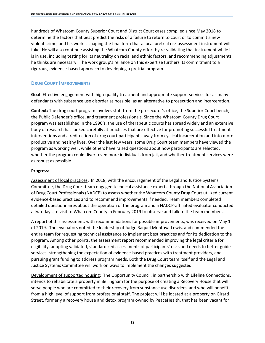hundreds of Whatcom County Superior Court and District Court cases compiled since May 2018 to determine the factors that best predict the risks of a failure to return to court or to commit a new violent crime, and his work is shaping the final form that a local pretrial risk assessment instrument will take. He will also continue assisting the Whatcom County effort by re-validating that instrument while it is in use, including testing for its neutrality on racial and ethnic factors, and recommending adjustments he thinks are necessary. The work group's reliance on this expertise furthers its commitment to a rigorous, evidence-based approach to developing a pretrial program.

#### **DRUG COURT IMPROVEMENTS**

**Goal:** Effective engagement with high-quality treatment and appropriate support services for as many defendants with substance use disorder as possible, as an alternative to prosecution and incarceration.

**Context:** The drug court program involves staff from the prosecutor's office, the Superior Court bench, the Public Defender's office, and treatment professionals. Since the Whatcom County Drug Court program was established in the 1990's, the use of therapeutic courts has spread widely and an extensive body of research has looked carefully at practices that are effective for promoting successful treatment interventions and a redirection of drug court participants away from cyclical incarceration and into more productive and healthy lives. Over the last few years, some Drug Court team members have viewed the program as working well, while others have raised questions about how participants are selected, whether the program could divert even more individuals from jail, and whether treatment services were as robust as possible.

#### **Progress:**

Assessment of local practices: In 2018, with the encouragement of the Legal and Justice Systems Committee, the Drug Court team engaged technical assistance experts through the National Association of Drug Court Professionals (NADCP) to assess whether the Whatcom County Drug Court utilized current evidence-based practices and to recommend improvements if needed. Team members completed detailed questionnaires about the operation of the program and a NADCP-affiliated evaluator conducted a two-day site visit to Whatcom County in February 2019 to observe and talk to the team members.

A report of this assessment, with recommendations for possible improvements, was received on May 1 of 2019. The evaluators noted the leadership of Judge Raquel Montoya-Lewis, and commended the entire team for requesting technical assistance to implement best practices and for its dedication to the program. Among other points, the assessment report recommended improving the legal criteria for eligibility, adopting validated, standardized assessments of participants' risks and needs to better guide services, strengthening the expectation of evidence-based practices with treatment providers, and pursuing grant funding to address program needs. Both the Drug Court team itself and the Legal and Justice Systems Committee will work on ways to implement the changes suggested.

Development of supported housing: The Opportunity Council, in partnership with Lifeline Connections, intends to rehabilitate a property in Bellingham for the purpose of creating a Recovery House that will serve people who are committed to their recovery from substance use disorders, and who will benefit from a high level of support from professional staff. The project will be located at a property on Girard Street, formerly a recovery house and detox program owned by PeaceHealth, that has been vacant for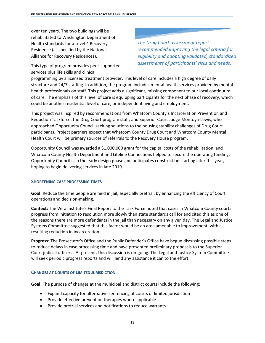over ten years. The two buildings will be rehabilitated to Washington Department of Health standards for a Level 4 Recovery Residence (as specified by the National Alliance for Recovery Residences).

This type of program provides peer-supported services plus life skills and clinical

*The Drug Court assessment report recommended improving the legal criteria for eligibility and adopting validated, standardized assessments of participants' risks and needs.*

programming by a licensed treatment provider. This level of care includes a high degree of daily structure and 24/7 staffing. In addition, the program includes mental health services provided by mental health professionals on staff. This project adds a significant, missing component to our local continuum of care. The emphasis of this level of care is equipping participants for the next phase of recovery, which could be another residential level of care, or independent living and employment.

This project was inspired by recommendations from Whatcom County's Incarceration Prevention and Reduction Taskforce, the Drug Court program staff, and Superior Court Judge Montoya-Lewis, who approached Opportunity Council seeking solutions to the housing stability challenges of Drug Court participants. Project partners expect that Whatcom County Drug Court and Whatcom County Mental Health Court will be primary sources of referrals to the Recovery House program.

Opportunity Council was awarded a \$1,000,000 grant for the capital costs of the rehabilitation, and Whatcom County Health Department and Lifeline Connections helped to secure the operating funding. Opportunity Council is in the early design phase and anticipates construction starting later this year, hoping to begin delivering services in late 2019.

#### **SHORTENING CASE PROCESSING TIMES**

**Goal:** Reduce the time people are held in jail, especially pretrial, by enhancing the efficiency of Court operations and decision-making.

**Context:** The Vera Institute's Final Report to the Task Force noted that cases in Whatcom County courts progress from initiation to resolution more slowly than state standards call for and cited this as one of the reasons there are more defendants in the jail than necessary on any given day. The Legal and Justice Systems Committee suggested that this factor would be an area amenable to improvement, with a resulting reduction in incarceration.

**Progress:** The Prosecutor's Office and the Public Defender's Office have begun discussing possible steps to reduce delays in case processing time and have presented preliminary proposals to the Superior Court judicial officers. At present, this discussion is on-going. The Legal and Justice System Committee will seek periodic progress reports and will lend any assistance it can to the effort.

#### **CHANGES AT COURTS OF LIMITED JURISDICTION**

**Goal:** The purpose of changes at the municipal and district courts include the following:

- Expand capacity for alternative sentencing at courts of limited jurisdiction
- Provide effective prevention therapies where applicable
- Provide pretrial services and notifications to reduce warrants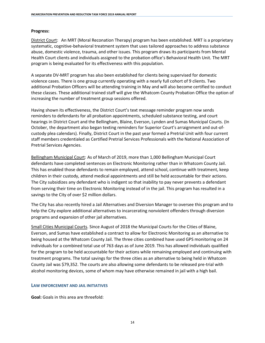#### **Progress:**

District Court: An MRT (Moral Reconation Therapy) program has been established. MRT is a proprietary systematic, cognitive-behavioral treatment system that uses tailored approaches to address substance abuse, domestic violence, trauma, and other issues. This program draws its participants from Mental Health Court clients and individuals assigned to the probation office's Behavioral Health Unit. The MRT program is being evaluated for its effectiveness with this population.

A separate DV-MRT program has also been established for clients being supervised for domestic violence cases. There is one group currently operating with a nearly full cohort of 9 clients. Two additional Probation Officers will be attending training in May and will also become certified to conduct these classes. These additional trained staff will give the Whatcom County Probation Office the option of increasing the number of treatment group sessions offered.

Having shown its effectiveness, the District Court's text message reminder program now sends reminders to defendants for all probation appointments, scheduled substance testing, and court hearings in District Court and the Bellingham, Blaine, Everson, Lynden and Sumas Municipal Courts. (In October, the department also began texting reminders for Superior Court's arraignment and out-ofcustody plea calendars). Finally, District Court in the past year formed a Pretrial Unit with four current staff members credentialed as Certified Pretrial Services Professionals with the National Association of Pretrial Services Agencies.

Bellingham Municipal Court: As of March of 2019, more than 1,000 Bellingham Municipal Court defendants have completed sentences on Electronic Monitoring rather than in Whatcom County Jail. This has enabled those defendants to remain employed, attend school, continue with treatment, keep children in their custody, attend medical appointments and still be held accountable for their actions. The City subsidizes any defendant who is indigent so that inability to pay never prevents a defendant from serving their time on Electronic Monitoring instead of in the jail. This program has resulted in a savings to the City of over \$2 million dollars.

The City has also recently hired a Jail Alternatives and Diversion Manager to oversee this program and to help the City explore additional alternatives to incarcerating nonviolent offenders through diversion programs and expansion of other jail alternatives.

Small Cities Municipal Courts. Since August of 2018 the Municipal Courts for the Cities of Blaine, Everson, and Sumas have established a contract to allow for Electronic Monitoring as an alternative to being housed at the Whatcom County Jail. The three cities combined have used GPS monitoring on 24 individuals for a combined total use of 763 days as of June 2019. This has allowed individuals qualified for the program to be held accountable for their actions while remaining employed and continuing with treatment programs. The total savings for the three cities as an alternative to being held in Whatcom County Jail was \$79,352. The courts are also allowing some defendants to be released pre-trial with alcohol monitoring devices, some of whom may have otherwise remained in jail with a high bail.

#### **LAW ENFORCEMENT AND JAIL INITIATIVES**

**Goal:** Goals in this area are threefold: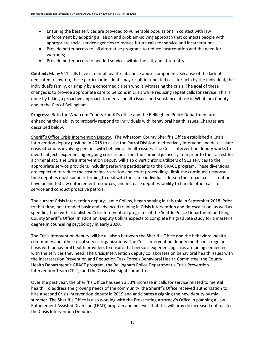- Ensuring the best services are provided to vulnerable populations in contact with law enforcement by adopting a liaison and problem-solving approach that connects people with appropriate social service agencies to reduce future calls for service and incarceration;
- Provide better access to jail alternative programs to reduce incarceration and the need for warrants;
- Provide better access to needed services within the jail, and at re-entry.

**Context:** Many 911 calls have a mental health/substance abuse component. Because of the lack of dedicated follow-up, these particular incidents may result in repeated calls for help by the individual, the individual's family, or simply by a concerned citizen who is witnessing the crisis. The goal of these changes is to provide appropriate care to persons in crisis while reducing repeat calls for service. This is done by taking a proactive approach to mental health issues and substance abuse in Whatcom County and in the City of Bellingham.

**Progress:** Both the Whatcom County Sheriff's office and the Bellingham Police Department are enhancing their ability to properly respond to individuals with behavioral health issues. Changes are described below.

Sheriff's Office Crisis Intervention Deputy. The Whatcom County Sheriff's Office established a Crisis Intervention deputy position in 2018 to assist the Patrol Division to effectively intervene and de-escalate crisis situations involving persons with behavioral health issues. The Crisis Intervention deputy works to divert subjects experiencing ongoing crisis issues from the criminal justice system prior to their arrest for a criminal act. The Crisis Intervention deputy will also divert chronic utilizers of 911 services to the appropriate service providers, including referring participants to the GRACE program. These diversions are expected to reduce the cost of incarceration and court proceedings, limit the continued response time deputies must spend returning to deal with the same individuals, lessen the impact crisis situations have on limited law enforcement resources, and increase deputies' ability to handle other calls for service and conduct proactive patrols.

The current Crisis Intervention deputy, Jamie Collins, began serving in this role in September 2018. Prior to that time, he attended basic and advanced training in Crisis Intervention and de-escalation, as well as spending time with established Crisis Intervention programs of the Seattle Police Department and King County Sheriff's Office. In addition, Deputy Collins expects to complete his graduate study for a master's degree in counseling psychology in early 2020.

The Crisis Intervention deputy will be a liaison between the Sheriff's Office and the behavioral health community and other social service organizations. The Crisis Intervention deputy meets on a regular basis with behavioral health providers to ensure that persons experiencing crisis are being connected with the services they need. The Crisis Intervention deputy collaborates on behavioral health issues with the Incarceration Prevention and Reduction Task Force's Behavioral Health Committee, the County Health Department's GRACE program, the Bellingham Police Department's Crisis Prevention Intervention Team (CPIT), and the Crisis Oversight committee.

Over the past year, the Sheriff's Office has seen a 33% increase in calls for service related to mental health. To address the growing needs of the community, the Sheriff's Office received authorization to hire a second Crisis Intervention deputy in 2019 and anticipates assigning the new deputy by midsummer. The Sheriff's Office is also working with the Prosecuting Attorney's Office in planning a Law Enforcement Assisted Diversion (LEAD) program and believes that this will provide increased options to the Crisis Intervention Deputies.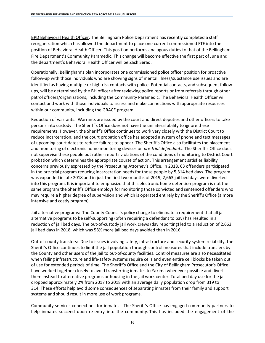BPD Behavioral Health Officer. The Bellingham Police Department has recently completed a staff reorganization which has allowed the department to place one current commissioned FTE into the position of Behavioral Health Officer. This position performs analogous duties to that of the Bellingham Fire Department's Community Paramedic. This change will become effective the first part of June and the department's Behavioral Health Officer will be Zach Serad.

Operationally, Bellingham's plan incorporates one commissioned police officer position for proactive follow-up with those individuals who are showing signs of mental illness/substance use issues and are identified as having multiple or high-risk contacts with police. Potential contacts, and subsequent followups, will be determined by the BH officer after reviewing police reports or from referrals through other patrol officers/organizations, including the Community Paramedic. The Behavioral Health Officer will contact and work with those individuals to assess and make connections with appropriate resources within our community, including the GRACE program.

Reduction of warrants. Warrants are issued by the court and direct deputies and other officers to take persons into custody. The Sheriff's Office does not have the unilateral ability to ignore these requirements. However, the Sheriff's Office continues to work very closely with the District Court to reduce incarceration, and the court probation office has adopted a system of phone and text messages of upcoming court dates to reduce failures to appear. The Sheriff's Office also facilitates the placement and monitoring of electronic home monitoring devices on *pre-trial defendants*. The Sheriff's Office does not supervise these people but rather reports violations of the conditions of monitoring to District Court probation which determines the appropriate course of action. This arrangement satisfies liability concerns previously expressed by the Prosecuting Attorney's Office. In 2018, 63 offenders participated in the pre-trial program reducing incarceration needs for those people by 5,314 bed days. The program was expanded in late 2018 and in just the first two months of 2019, 2,663 jail bed days were diverted into this program. It is important to emphasize that this electronic home detention program is not the same program the Sheriff's Office employs for monitoring those convicted and sentenced offenders who may require a higher degree of supervision and which is operated entirely by the Sheriff's Office (a more intensive and costly program).

Jail alternative programs: The County Council's policy change to eliminate a requirement that all jail alternative programs to be self-supporting (often requiring a defendant to pay) has resulted in a reduction of jail bed days. The out-of-custody jail work crews (day reporting) led to a reduction of 2,663 jail bed days in 2018, which was 58% more jail bed days avoided than in 2016.

Out-of-county transfers: Due to issues involving safety, infrastructure and security system reliability, the Sheriff's Office continues to limit the jail population through control measures that include transfers by the County and other users of the jail to out-of-county facilities. Control measures are also necessitated when failing infrastructure and life-safety systems require cells and even entire cell blocks be taken out of use for extended periods of time. The Sheriff's Office and the City of Bellingham Prosecutor's Office have worked together closely to avoid transferring inmates to Yakima whenever possible and divert them instead to alternative programs or housing in the jail work center. Total bed day use for the jail dropped approximately 2% from 2017 to 2018 with an average daily population drop from 319 to 314. These efforts help avoid some consequences of separating inmates from their family and support systems and should result in more use of work programs.

Community services connections for inmates: The Sheriff's Office has engaged community partners to help inmates succeed upon re-entry into the community. This has included the engagement of the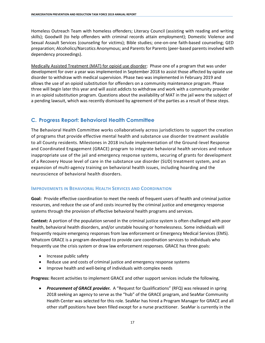Homeless Outreach Team with homeless offenders; Literacy Council (assisting with reading and writing skills); Goodwill (to help offenders with criminal records attain employment); Domestic Violence and Sexual Assault Services (counseling for victims); Bible studies; one-on-one faith-based counseling; GED preparation; Alcoholics/Narcotics Anonymous; and Parents for Parents (peer-based parents involved with dependency proceedings).

Medically Assisted Treatment (MAT) for opioid use disorder: Phase one of a program that was under development for over a year was implemented in September 2018 to assist those affected by opiate use disorder to withdraw with medical supervision. Phase two was implemented in February 2019 and allows the use of an opioid substitution for offenders on a community maintenance program. Phase three will begin later this year and will assist addicts to withdraw and work with a community provider in an opioid substitution program. Questions about the availability of MAT in the jail were the subject of a pending lawsuit, which was recently dismissed by agreement of the parties as a result of these steps.

## **C. Progress Report: Behavioral Health Committee**

The Behavioral Health Committee works collaboratively across jurisdictions to support the creation of programs that provide effective mental health and substance use disorder treatment available to all County residents. Milestones in 2018 include implementation of the Ground-level Response and Coordinated Engagement (GRACE) program to integrate behavioral health services and reduce inappropriate use of the jail and emergency response systems, securing of grants for development of a Recovery House level of care in the substance use disorder (SUD) treatment system, and an expansion of multi-agency training on behavioral health issues, including hoarding and the neuroscience of behavioral health disorders.

#### **IMPROVEMENTS IN BEHAVIORAL HEALTH SERVICES AND COORDINATION**

**Goal:** Provide effective coordination to meet the needs of frequent users of health and criminal justice resources, and reduce the use of and costs incurred by the criminal justice and emergency response systems through the provision of effective behavioral health programs and services.

**Context:** A portion of the population served in the criminal justice system is often challenged with poor health, behavioral health disorders, and/or unstable housing or homelessness. Some individuals will frequently require emergency responses from law enforcement or Emergency Medical Services (EMS). Whatcom GRACE is a program developed to provide care coordination services to individuals who frequently use the crisis system or draw law enforcement responses. GRACE has three goals:

- Increase public safety
- Reduce use and costs of criminal justice and emergency response systems
- Improve health and well-being of individuals with complex needs

**Progress:** Recent activities to implement GRACE and other support services include the following,

• *Procurement of GRACE provider.* A "Request for Qualifications" (RFQ) was released in spring 2018 seeking an agency to serve as the "hub" of the GRACE program, and SeaMar Community Health Center was selected for this role. SeaMar has hired a Program Manager for GRACE and all other staff positions have been filled except for a nurse practitioner. SeaMar is currently in the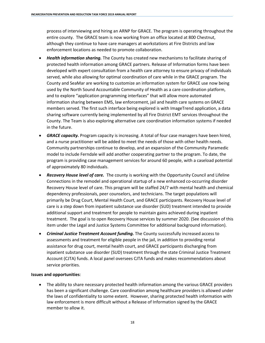process of interviewing and hiring an ARNP for GRACE. The program is operating throughout the entire county. The GRACE team is now working from an office located at 800 Chestnut, although they continue to have care managers at workstations at Fire Districts and law enforcement locations as needed to promote collaboration.

- *Health information sharing.* The County has created new mechanisms to facilitate sharing of protected health information among GRACE partners. Release of Information forms have been developed with expert consultation from a health care attorney to ensure privacy of individuals served, while also allowing for optimal coordination of care while in the GRACE program. The County and SeaMar are working to customize an information system for GRACE use now being used by the North Sound Accountable Community of Health as a care coordination platform, and to explore "application programming interfaces" that will allow more automated information sharing between EMS, law enforcement, jail and health care systems on GRACE members served. The first such interface being explored is with ImageTrend application, a data sharing software currently being implemented by all Fire District EMT services throughout the County. The Team is also exploring alternative care coordination information systems if needed in the future.
- *GRACE capacity.* Program capacity is increasing. A total of four case managers have been hired, and a nurse practitioner will be added to meet the needs of those with other health needs. Community partnerships continue to develop, and an expansion of the Community Paramedic model to include Ferndale will add another cooperating partner to the program. To date, the program is providing case management services for around 60 people, with a caseload potential of approximately 80 individuals.
- *Recovery House level of care.* The county is working with the Opportunity Council and Lifeline Connections in the remodel and operational startup of a new enhanced co-occurring disorder Recovery House level of care. This program will be staffed 24/7 with mental health and chemical dependency professionals, peer counselors, and technicians. The target populations will primarily be Drug Court, Mental Health Court, and GRACE participants. Recovery House level of care is a step down from inpatient substance use disorder (SUD) treatment intended to provide additional support and treatment for people to maintain gains achieved during inpatient treatment. The goal is to open Recovery House services by summer 2020. (See discussion of this item under the Legal and Justice Systems Committee for additional background information).
- *Criminal Justice Treatment Account funding.* The County successfully increased access to assessments and treatment for eligible people in the jail, in addition to providing rental assistance for drug court, mental health court, and GRACE participants discharging from inpatient substance use disorder (SUD) treatment through the state Criminal Justice Treatment Account (CJTA) funds. A local panel oversees CJTA funds and makes recommendations about service priorities.

#### **Issues and opportunities**:

• The ability to share necessary protected health information among the various GRACE providers has been a significant challenge. Care coordination among healthcare providers is allowed under the laws of confidentiality to some extent. However, sharing protected health information with law enforcement is more difficult without a Release of Information signed by the GRACE member to allow it.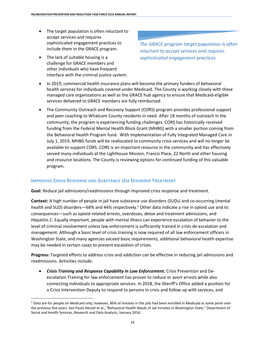- The target population is often reluctant to accept services and requires sophisticated engagement practices to include them in the GRACE program.
- The lack of suitable housing is a challenge for GRACE members and other individuals who have frequent interface with the criminal justice system.

*The GRACE program target population is often reluctant to accept services and requires sophisticated engagement practices.*

- In 2019, commercial health insurance plans will become the primary funders of behavioral health services for individuals covered under Medicaid. The County is working closely with these managed care organizations as well as the GRACE hub agency to ensure that Medicaid-eligible services delivered to GRACE members are fully reimbursed.
- The Community Outreach and Recovery Support (CORS) program provides professional support and peer coaching to Whatcom County residents in need. After 18 months of outreach in the community, the program is experiencing funding challenges. CORS has historically received funding from the Federal Mental Health Block Grant (MHBG) with a smaller portion coming from the Behavioral Health Program fund. With implementation of Fully Integrated Managed Care in July 1, 2019, MHBG funds will be reallocated to community crisis services and will no longer be available to support CORS. CORS is an important resource in the community and has effectively served many individuals at the Lighthouse Mission, Francis Place, 22 North and other housing and resource locations. The County is reviewing options for continued funding of this valuable program.

# **IMPROVED CRISIS RESPONSE AND SUBSTANCE USE DISORDER TREATMENT**

**Goal:** Reduce jail admissions/readmissions through improved crisis response and treatment.

**Context:** A high number of people in jail have substance use disorders (SUDs) and co-occurring (mental health and SUD) disorders-68% and 44% respectively.<sup>1</sup> Other data indicate a rise in opioid use and its consequences—such as opioid-related arrests, overdoses, detox and treatment admissions, and Hepatitis C. Equally important, people with mental illness can experience escalation of behavior to the level of criminal involvement unless law enforcement is sufficiently trained in crisis de-escalation and management. Although a basic level of crisis training is now required of all law enforcement officers in Washington State, and many agencies exceed basic requirements, additional behavioral health expertise may be needed in certain cases to prevent escalation of crises.

**Progress:** Targeted efforts to address crisis and addiction can be effective in reducing jail admissions and readmissions. Activities include:

• *Crisis Training and Response Capability in Law Enforcement.* Crisis Prevention and Deescalation Training for law enforcement has proven to reduce or avert arrests while also connecting individuals to appropriate services. In 2018, the Sheriff's Office added a position for a Crisis Intervention Deputy to respond to persons in crisis and follow up with services, and

 $\overline{\phantom{a}}$ <sup>1</sup> Data are for people on Medicaid only; however, 86% of inmates in the jails had been enrolled in Medicaid at some point over the previous five years. See Paula Henzel et al., "Behavioral Health Needs of Jail Inmates in Washington State," Department of Social and Health Services, Research and Data Analysis, January 2016.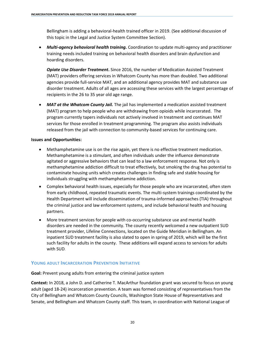Bellingham is adding a behavioral-health trained officer in 2019. (See additional discussion of this topic in the Legal and Justice System Committee Section).

• *Multi-agency behavioral health training.* Coordination to update multi-agency and practitioner training needs included training on behavioral health disorders and brain dysfunction and hoarding disorders.

*Opiate Use Disorder Treatment***.** Since 2016, the number of Medication Assisted Treatment (MAT) providers offering services in Whatcom County has more than doubled. Two additional agencies provide full-service MAT, and an additional agency provides MAT and substance use disorder treatment. Adults of all ages are accessing these services with the largest percentage of recipients in the 26 to 35 year old age range.

• *MAT at the Whatcom County Jail.* The jail has implemented a medication assisted treatment (MAT) program to help people who are withdrawing from opioids while incarcerated. The program currently tapers individuals not actively involved in treatment and continues MAT services for those enrolled in treatment programming. The program also assists individuals released from the jail with connection to community-based services for continuing care.

#### **Issues and Opportunities:**

- Methamphetamine use is on the rise again, yet there is no effective treatment medication. Methamphetamine is a stimulant, and often individuals under the influence demonstrate agitated or aggressive behaviors that can lead to a law enforcement response. Not only is methamphetamine addiction difficult to treat effectively, but smoking the drug has potential to contaminate housing units which creates challenges in finding safe and stable housing for individuals struggling with methamphetamine addiction.
- Complex behavioral health issues, especially for those people who are incarcerated, often stem from early childhood, repeated traumatic events. The multi-system trainings coordinated by the Health Department will include dissemination of trauma-informed approaches (TIA) throughout the criminal justice and law enforcement systems, and include behavioral health and housing partners.
- More treatment services for people with co-occurring substance use and mental health disorders are needed in the community. The county recently welcomed a new outpatient SUD treatment provider, Lifeline Connections, located on the Guide Meridian in Bellingham. An inpatient SUD treatment facility is also slated to open in spring of 2019, which will be the first such facility for adults in the county. These additions will expand access to services for adults with SUD.

#### **YOUNG ADULT INCARCERATION PREVENTION INITIATIVE**

**Goal:** Prevent young adults from entering the criminal justice system

**Context:** In 2018, a John D. and Catherine T. MacArthur foundation grant was secured to focus on young adult (aged 18-24) incarceration prevention. A team was formed consisting of representatives from the City of Bellingham and Whatcom County Councils, Washington State House of Representatives and Senate, and Bellingham and Whatcom County staff. This team, in coordination with National League of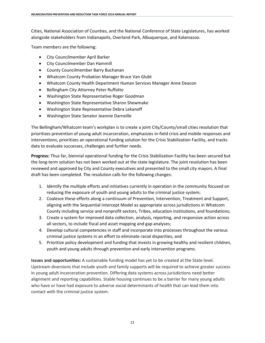Cities, National Association of Counties, and the National Conference of State Legislatures, has worked alongside stakeholders from Indianapolis, Overland Park, Albuquerque, and Kalamazoo.

Team members are the following:

- City Councilmember April Barker
- City Councilmember Dan Hammill
- County Councilmember Barry Buchanan
- Whatcom County Probation Manager Bruce Van Glubt
- Whatcom County Health Department Human Services Manager Anne Deacon
- Bellingham City Attorney Peter Ruffatto
- Washington State Representative Roger Goodman
- Washington State Representative Sharon Shewmake
- Washington State Representative Debra Lekanoff
- Washington State Senator Jeannie Darneille

The Bellingham/Whatcom team's workplan is to create a joint City/County/small cities resolution that prioritizes prevention of young adult incarceration, emphasizes in-field crisis and mobile responses and interventions, prioritizes an operational funding solution for the Crisis Stabilization Facility, and tracks data to evaluate successes, challenges and further needs.

**Progress:** Thus far, biennial operational funding for the Crisis Stabilization Facility has been secured but the long-term solution has not been worked out at the state legislature. The joint resolution has been reviewed and approved by City and County executives and presented to the small city mayors. A final draft has been completed. The resolution calls for the following changes:

- 1. Identify the multiple efforts and initiatives currently in operation in the community focused on reducing the exposure of youth and young adults to the criminal justice system;
- 2. Coalesce these efforts along a continuum of Prevention, Intervention, Treatment and Support, aligning with the Sequential Intercept Model as appropriate across jurisdictions in Whatcom County including service and nonprofit sectors, Tribes, education institutions, and foundations;
- 3. Create a system for improved data collection, analysis, reporting, and responsive action across all sectors, to include fiscal and asset mapping and gap analyses;
- 4. Develop cultural competencies in staff and incorporate into processes throughout the various criminal justice systems in an effort to eliminate racial disparities; and
- 5. Prioritize policy development and funding that invests in growing healthy and resilient children, youth and young adults through prevention and early intervention programs.

**Issues and opportunities:** A sustainable funding model has yet to be created at the State level. Upstream diversions that include youth and family supports will be required to achieve greater success in young adult incarceration prevention. Differing data systems across jurisdictions need better alignment and reporting capabilities. Stable housing continues to be a barrier for many young adults who have or have had exposure to adverse social determinants of health that can lead them into contact with the criminal justice system.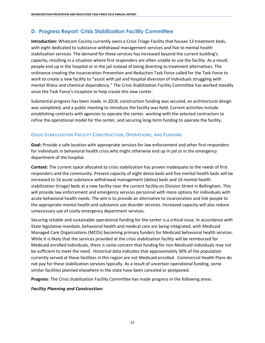# **D. Progress Report: Crisis Stabilization Facility Committee**

**Introduction:** Whatcom County currently owns a Crisis Triage Facility that houses 13 treatment beds, with eight dedicated to substance withdrawal management services and five to mental health stabilization services. The demand for these services has increased beyond the current building's capacity, resulting in a situation where first responders are often unable to use the facility. As a result, people end up in the hospital or in the jail instead of being diverting to treatment alternatives. The ordinance creating the Incarceration Prevention and Reduction Task Force called for the Task Force to work to create a new facility to "assist with jail and hospital diversion of individuals struggling with mental illness and chemical dependency." The Crisis Stabilization Facility Committee has worked steadily since the Task Force's inception to help create this new center.

Substantial progress has been made. In 2018, construction funding was secured, an architectural design was completed, and a public meeting to introduce the facility was held. Current activities include establishing contracts with agencies to operate the center, working with the selected contractors to refine the operational model for the center, and securing long-term funding to operate the facility.

## **CRISIS STABILIZATION FACILITY CONSTRUCTION, OPERATIONS, AND FUNDING**

**Goal:** Provide a safe location with appropriate services for law enforcement and other first responders for individuals in behavioral health crisis who might otherwise end up in jail or in the emergency department of the hospital.

**Context:** The current space allocated to crisis stabilization has proven inadequate to the needs of first responders and the community. Present capacity of eight detox beds and five mental health beds will be increased to 16 acute substance withdrawal management (detox) beds and 16 mental health stabilization (triage) beds at a new facility near the current facility on Division Street in Bellingham. This will provide law enforcement and emergency services personnel with more options for individuals with acute behavioral health needs. The aim is to provide an alternative to incarceration and link people to the appropriate mental health and substance use disorder services. Increased capacity will also reduce unnecessary use of costly emergency department services.

Securing reliable and sustainable operational funding for the center is a critical issue. In accordance with State legislative mandate, behavioral health and medical care are being integrated, with Medicaid Managed Care Organizations (MCOs) becoming primary funders for Medicaid behavioral health services. While it is likely that the services provided at the crisis stabilization facility will be reimbursed for Medicaid enrolled individuals, there is some concern that funding for non-Medicaid individuals may not be sufficient to meet the need. Historical data indicates that approximately 30% of the population currently served at these facilities in this region are not Medicaid enrolled. Commercial Health Plans do not pay for these stabilization services typically. As a result of uncertain operational funding, some similar facilities planned elsewhere in the state have been canceled or postponed.

**Progress**: The Crisis Stabilization Facility Committee has made progress in the following areas.

#### *Facility Planning and Construction:*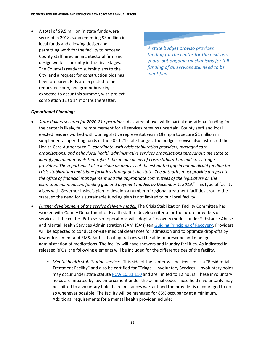• A total of \$9.5 million in state funds were secured in 2018, supplementing \$3 million in local funds and allowing design and permitting work for the facility to proceed. County staff hired an architectural firm and design work is currently in the final stages. The County is ready to submit plans to the City, and a request for construction bids has been prepared. Bids are expected to be requested soon, and groundbreaking is expected to occur this summer, with project completion 12 to 14 months thereafter.

*A state budget proviso provides funding for the center for the next two years, but ongoing mechanisms for full funding of all services still need to be identified.*

#### *Operational Planning:*

- *State dollars secured for 2020-21 operations*. As stated above, while partial operational funding for the center is likely, full reimbursement for all services remains uncertain. County staff and local elected leaders worked with our legislative representatives in Olympia to secure \$1 million in supplemental operating funds in the 2020-21 state budget. The budget proviso also instructed the Health Care Authority to *"…coordinate with crisis stabilization providers, managed care organizations, and behavioral health administrative services organizations throughout the state to identify payment models that reflect the unique needs of crisis stabilization and crisis triage providers. The report must also include an analysis of the estimated gap in nonmedicaid funding for crisis stabilization and triage facilities throughout the state. The authority must provide a report to the office of financial management and the appropriate committees of the legislature on the estimated nonmedicaid funding gap and payment models by December 1, 2019.*" This type of facility aligns with Governor Inslee's plan to develop a number of regional treatment facilities around the state, so the need for a sustainable funding plan is not limited to our local facility.
- *Further development of the service delivery model.* The Crisis Stabilization Facility Committee has worked with County Department of Health staff to develop criteria for the future providers of services at the center. Both sets of operations will adopt a "recovery model" under Substance Abuse and Mental Health Services Administration (SAMHSA's) ten [Guiding Principles](https://store.samhsa.gov/system/files/pep12-recdef.pdf) of Recovery. Providers will be expected to conduct on-site medical clearances for admission and to optimize drop-offs by law enforcement and EMS. Both sets of operations will be able to prescribe and manage administration of medications. The facility will have showers and laundry facilities. As indicated in released RFQs, the following elements will be included for the different sides of the facility.
	- o *Mental health stabilization services*. This side of the center will be licensed as a "Residential Treatment Facility" and also be certified for "Triage – Involuntary Services." Involuntary holds may occur under state statute [RCW 10.31.110](https://app.leg.wa.gov/RCW/default.aspx?cite=10.31.110) and are limited to 12 hours. These involuntary holds are initiated by law enforcement under the criminal code. Those held involuntarily may be shifted to a voluntary hold if circumstances warrant and the provider is encouraged to do so whenever possible. The facility will be managed for 85% occupancy at a minimum. Additional requirements for a mental health provider include: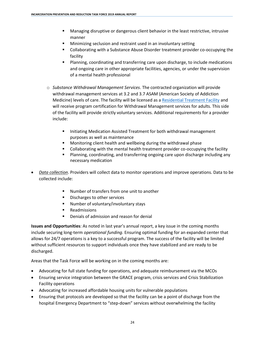- Managing disruptive or dangerous client behavior in the least restrictive, intrusive manner
- Minimizing seclusion and restraint used in an involuntary setting
- Collaborating with a Substance Abuse Disorder treatment provider co-occupying the facility
- Planning, coordinating and transferring care upon discharge, to include medications and ongoing care in other appropriate facilities, agencies, or under the supervision of a mental health professional
- o *Substance Withdrawal Management Services*. The contracted organization will provide withdrawal management services at 3.2 and 3.7 ASAM (American Society of Addiction Medicine) levels of care. The facility will be licensed as [a Residential Treatment Facility](https://www.doh.wa.gov/LicensesPermitsandCertificates/FacilitiesNewReneworUpdate/ResidentialTreatmentFacilities) and will receive program certification for Withdrawal Management services for adults. This side of the facility will provide strictly voluntary services. Additional requirements for a provider include:
	- Initiating Medication Assisted Treatment for both withdrawal management purposes as well as maintenance
	- Monitoring client health and wellbeing during the withdrawal phase
	- **•** Collaborating with the mental health treatment provider co-occupying the facility
	- Planning, coordinating, and transferring ongoing care upon discharge including any necessary medication
- *Data collection*. Providers will collect data to monitor operations and improve operations. Data to be collected include:
	- Number of transfers from one unit to another
	- Discharges to other services
	- Number of voluntary/involuntary stays
	- Readmissions
	- Denials of admission and reason for denial

**Issues and Opportunities**: As noted in last year's annual report, a key issue in the coming months include securing long-term *operational funding*. Ensuring optimal funding for an expanded center that allows for 24/7 operations is a key to a successful program. The success of the facility will be limited without sufficient resources to support individuals once they have stabilized and are ready to be discharged.

Areas that the Task Force will be working on in the coming months are:

- Advocating for full state funding for operations, and adequate reimbursement via the MCOs
- Ensuring service integration between the GRACE program, crisis services and Crisis Stabilization Facility operations
- Advocating for increased affordable housing units for vulnerable populations
- Ensuring that protocols are developed so that the facility can be a point of discharge from the hospital Emergency Department to "step-down" services without overwhelming the facility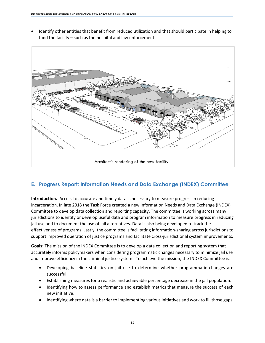• Identify other entities that benefit from reduced utilization and that should participate in helping to fund the facility – such as the hospital and law enforcement



# **E. Progress Report: Information Needs and Data Exchange (INDEX) Committee**

**Introduction.** Access to accurate and timely data is necessary to measure progress in reducing incarceration. In late 2018 the Task Force created a new Information Needs and Data Exchange (INDEX) Committee to develop data collection and reporting capacity. The committee is working across many jurisdictions to identify or develop useful data and program information to measure progress in reducing jail use and to document the use of jail alternatives. Data is also being developed to track the effectiveness of programs. Lastly, the committee is facilitating information-sharing across jurisdictions to support improved operation of justice programs and facilitate cross-jurisdictional system improvements.

**Goals:** The mission of the INDEX Committee is to develop a data collection and reporting system that accurately informs policymakers when considering programmatic changes necessary to minimize jail use and improve efficiency in the criminal justice system. To achieve the mission, the INDEX Committee is:

- Developing baseline statistics on jail use to determine whether programmatic changes are successful.
- Establishing measures for a realistic and achievable percentage decrease in the jail population.
- Identifying how to assess performance and establish metrics that measure the success of each new initiative.
- Identifying where data is a barrier to implementing various initiatives and work to fill those gaps.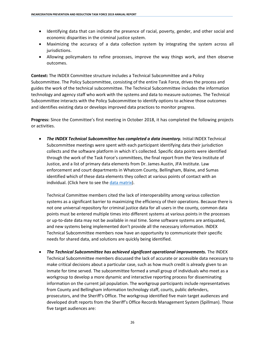- Identifying data that can indicate the presence of racial, poverty, gender, and other social and economic disparities in the criminal justice system.
- Maximizing the accuracy of a data collection system by integrating the system across all jurisdictions.
- Allowing policymakers to refine processes, improve the way things work, and then observe outcomes.

**Context:** The INDEX Committee structure includes a Technical Subcommittee and a Policy Subcommittee. The Policy Subcommittee, consisting of the entire Task Force, drives the process and guides the work of the technical subcommittee. The Technical Subcommittee includes the information technology and agency staff who work with the systems and data to measure outcomes. The Technical Subcommittee interacts with the Policy Subcommittee to identify options to achieve those outcomes and identifies existing data or develops improved data practices to monitor progress.

**Progress:** Since the Committee's first meeting in October 2018, it has completed the following projects or activities.

• *The INDEX Technical Subcommittee has completed a data inventory.* Initial INDEX Technical Subcommittee meetings were spent with each participant identifying data their jurisdiction collects and the software platform in which it's collected. Specific data points were identified through the work of the Task Force's committees, the final report from the Vera Institute of Justice, and a list of primary data elements from Dr. James Austin, JFA Institute. Law enforcement and court departments in Whatcom County, Bellingham, Blaine, and Sumas identified which of these data elements they collect at various points of contact with an individual. (Click here to see the [data matrix\)](https://www.whatcomcounty.us/DocumentCenter/View/41587/Data-Matrix-MASTER-for-website).

Technical Committee members cited the lack of interoperability among various collection systems as a significant barrier to maximizing the efficiency of their operations. Because there is not one universal repository for criminal justice data for all users in the county, common data points must be entered multiple times into different systems at various points in the processes or up-to-date data may not be available in real time. Some software systems are antiquated, and new systems being implemented don't provide all the necessary information. INDEX Technical Subcommittee members now have an opportunity to communicate their specific needs for shared data, and solutions are quickly being identified.

• The Technical Subcommittee has achieved significant operational improvements. The INDEX Technical Subcommittee members discussed the lack of accurate or accessible data necessary to make critical decisions about a particular case, such as how much credit is already given to an inmate for time served. The subcommittee formed a small group of individuals who meet as a workgroup to develop a more dynamic and interactive reporting process for disseminating information on the current jail population. The workgroup participants include representatives from County and Bellingham information technology staff, courts, public defenders, prosecutors, and the Sheriff's Office. The workgroup identified five main target audiences and developed draft reports from the Sheriff's Office Records Management System (Spillman). Those five target audiences are: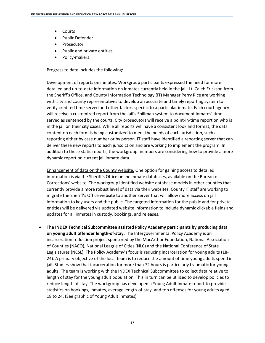- Courts
- Public Defender
- Prosecutor
- Public and private entities
- Policy-makers

Progress to date includes the following:

Development of reports on inmates. Workgroup participants expressed the need for more detailed and up-to-date information on inmates currently held in the jail. Lt. Caleb Erickson from the Sheriff's Office, and County Information Technology (IT) Manager Perry Rice are working with city and county representatives to develop an accurate and timely reporting system to verify credited time served and other factors specific to a particular inmate. Each court agency will receive a customized report from the jail's Spillman system to document inmates' time served as sentenced by the courts. City prosecutors will receive a point-in-time report on who is in the jail on their city cases. While all reports will have a consistent look and format, the data content on each form is being customized to meet the needs of each jurisdiction, such as reporting either by case number or by person. IT staff have identified a reporting server that can deliver these new reports to each jurisdiction and are working to implement the program. In addition to these static reports, the workgroup members are considering how to provide a more dynamic report on current jail inmate data.

Enhancement of data on the County website. One option for gaining access to detailed information is via the Sheriff's Office online inmate databases, available on the Bureau of Corrections' website. The workgroup identified website database models in other counties that currently provide a more robust level of data via their websites. County IT staff are working to migrate the Sheriff's Office website to another server that will allow more access on jail information to key users and the public. The targeted information for the public and for private entities will be delivered via updated website information to include dynamic clickable fields and updates for all inmates in custody, bookings, and releases.

• **The INDEX Technical Subcommittee assisted Policy Academy participants by producing data on young adult offender length-of-stay.** The Intergovernmental Policy Academy is an incarceration reduction project sponsored by the MacArthur Foundation, National Association of Counties (NACO), National League of Cities (NLC) and the National Conference of State Legislatures (NCSL). The Policy Academy's focus is reducing incarceration for young adults (18- 24). A primary objective of the local team is to reduce the amount of time young adults spend in jail. Studies show that incarceration for more than 72 hours is particularly traumatic for young adults. The team is working with the INDEX Technical Subcommittee to collect data relative to length of stay for the young adult population. This in turn can be utilized to develop policies to reduce length of stay. The workgroup has developed a Young Adult Inmate report to provide statistics on bookings, inmates, average length-of-stay, and top offenses for young adults aged 18 to 24. (See graphic of Young Adult Inmates).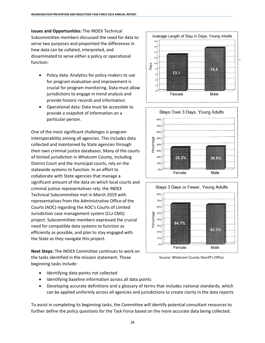**Issues and Opportunities:** The INDEX Technical Subcommittee members discussed the need for data to serve two purposes and pinpointed the differences in how data can be collated, interpreted, and disseminated to serve either a policy or operational function:

- Policy data: Analytics for policy-makers to use for program evaluation and improvement is crucial for program monitoring. Data must allow jurisdictions to engage in trend analysis and provide historic records and information.
- Operational data: Data must be accessible to provide a snapshot of information on a particular person.

One of the most significant challenges is program interoperability among all agencies. This includes data collected and maintained by State agencies through their own criminal justice databases. Many of the courts of limited jurisdiction in Whatcom County, including District Court and the municipal courts, rely on the statewide systems to function. In an effort to collaborate with State agencies that manage a significant amount of the data on which local courts and criminal justice representatives rely, the INDEX Technical Subcommittee met in March 2019 with representatives from the Administrative Office of the Courts (AOC) regarding the AOC's Courts of Limited Jurisdiction case management system (CLJ-CMS) project. Subcommittee members expressed the crucial need for compatible data systems to function as efficiently as possible, and plan to stay engaged with the State as they navigate this project.

**Next Steps:** The INDEX Committee continues to work on the tasks identified in the mission statement. Those beginning tasks include:

- Identifying data points not collected
- Identifying baseline information across all data points
- Developing accurate definitions and a glossary of terms that includes national standards, which can be applied uniformly across all agencies and jurisdictions to create clarity in the data reports

To assist in completing its beginning tasks, the Committee will identify potential consultant resources to further define the policy questions for the Task Force based on the more accurate data being collected.







Source: Whatcom County Sheriff's Office